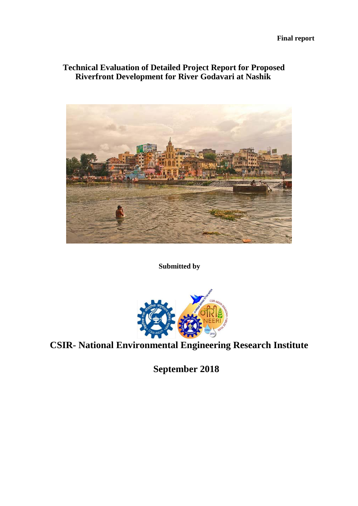# **Technical Evaluation of Detailed Project Report for Proposed Riverfront Development for River Godavari at Nashik**



**Submitted by**



**CSIR- National Environmental Engineering Research Institute**

**September 2018**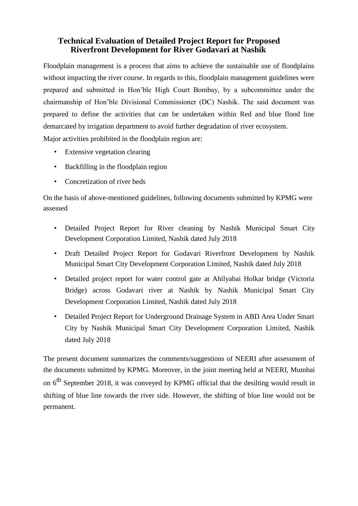# **Technical Evaluation of Detailed Project Report for Proposed Riverfront Development for River Godavari at Nashik**

Floodplain management is a process that aims to achieve the sustainable use of floodplains without impacting the river course. In regards to this, floodplain management guidelines were prepared and submitted in Hon'ble High Court Bombay, by a subcommittee under the chairmanship of Hon'ble Divisional Commissioner (DC) Nashik. The said document was prepared to define the activities that can be undertaken within Red and blue flood line demarcated by irrigation department to avoid further degradation of river ecosystem. Major activities prohibited in the floodplain region are:

- Extensive vegetation clearing
- Backfilling in the floodplain region
- Concretization of river beds

On the basis of above-mentioned guidelines, following documents submitted by KPMG were assessed

- Detailed Project Report for River cleaning by Nashik Municipal Smart City Development Corporation Limited, Nashik dated July 2018
- Draft Detailed Project Report for Godavari Riverfront Development by Nashik Municipal Smart City Development Corporation Limited, Nashik dated July 2018
- Detailed project report for water control gate at Ahilyabai Holkar bridge (Victoria Bridge) across Godavari river at Nashik by Nashik Municipal Smart City Development Corporation Limited, Nashik dated July 2018
- Detailed Project Report for Underground Drainage System in ABD Area Under Smart City by Nashik Municipal Smart City Development Corporation Limited, Nashik dated July 2018

The present document summarizes the comments/suggestions of NEERI after assessment of the documents submitted by KPMG. Moreover, in the joint meeting held at NEERI, Mumbai on 6<sup>th</sup> September 2018, it was conveyed by KPMG official that the desilting would result in shifting of blue line towards the river side. However, the shifting of blue line would not be permanent.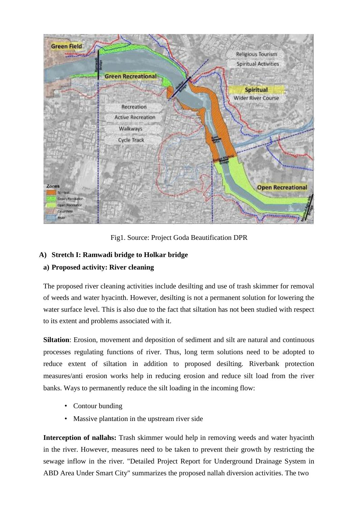

Fig1. Source: Project Goda Beautification DPR

#### **A) Stretch I: Ramwadi bridge to Holkar bridge**

### **a) Proposed activity: River cleaning**

The proposed river cleaning activities include desilting and use of trash skimmer for removal of weeds and water hyacinth. However, desilting is not a permanent solution for lowering the water surface level. This is also due to the fact that siltation has not been studied with respect to its extent and problems associated with it.

**Siltation**: Erosion, movement and deposition of sediment and silt are natural and continuous processes regulating functions of river. Thus, long term solutions need to be adopted to reduce extent of siltation in addition to proposed desilting. Riverbank protection measures/anti erosion works help in reducing erosion and reduce silt load from the river banks. Ways to permanently reduce the silt loading in the incoming flow:

- Contour bunding
- Massive plantation in the upstream river side

**Interception of nallahs:** Trash skimmer would help in removing weeds and water hyacinth in the river. However, measures need to be taken to prevent their growth by restricting the sewage inflow in the river. "Detailed Project Report for Underground Drainage System in ABD Area Under Smart City" summarizes the proposed nallah diversion activities. The two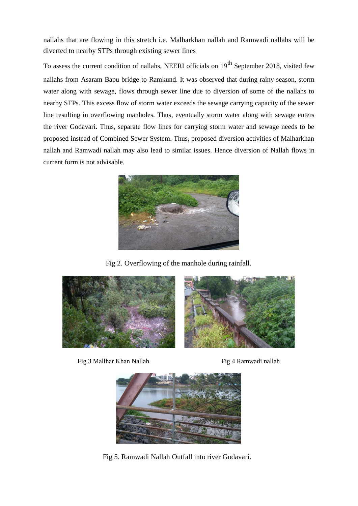nallahs that are flowing in this stretch i.e. Malharkhan nallah and Ramwadi nallahs will be diverted to nearby STPs through existing sewer lines

To assess the current condition of nallahs, NEERI officials on 19<sup>th</sup> September 2018, visited few nallahs from Asaram Bapu bridge to Ramkund. It was observed that during rainy season, storm water along with sewage, flows through sewer line due to diversion of some of the nallahs to nearby STPs. This excess flow of storm water exceeds the sewage carrying capacity of the sewer line resulting in overflowing manholes. Thus, eventually storm water along with sewage enters the river Godavari. Thus, separate flow lines for carrying storm water and sewage needs to be proposed instead of Combined Sewer System. Thus, proposed diversion activities of Malharkhan nallah and Ramwadi nallah may also lead to similar issues. Hence diversion of Nallah flows in current form is not advisable.



Fig 2. Overflowing of the manhole during rainfall.



Fig 3 Mallhar Khan Nallah Fig 4 Ramwadi nallah



Fig 5. Ramwadi Nallah Outfall into river Godavari.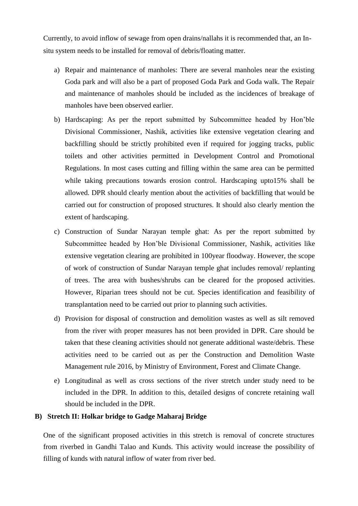Currently, to avoid inflow of sewage from open drains/nallahs it is recommended that, an Insitu system needs to be installed for removal of debris/floating matter.

- a) Repair and maintenance of manholes: There are several manholes near the existing Goda park and will also be a part of proposed Goda Park and Goda walk. The Repair and maintenance of manholes should be included as the incidences of breakage of manholes have been observed earlier.
- b) Hardscaping: As per the report submitted by Subcommittee headed by Hon'ble Divisional Commissioner, Nashik, activities like extensive vegetation clearing and backfilling should be strictly prohibited even if required for jogging tracks, public toilets and other activities permitted in Development Control and Promotional Regulations. In most cases cutting and filling within the same area can be permitted while taking precautions towards erosion control. Hardscaping upto15% shall be allowed. DPR should clearly mention about the activities of backfilling that would be carried out for construction of proposed structures. It should also clearly mention the extent of hardscaping.
- c) Construction of Sundar Narayan temple ghat: As per the report submitted by Subcommittee headed by Hon'ble Divisional Commissioner, Nashik, activities like extensive vegetation clearing are prohibited in 100year floodway. However, the scope of work of construction of Sundar Narayan temple ghat includes removal/ replanting of trees. The area with bushes/shrubs can be cleared for the proposed activities. However, Riparian trees should not be cut. Species identification and feasibility of transplantation need to be carried out prior to planning such activities.
- d) Provision for disposal of construction and demolition wastes as well as silt removed from the river with proper measures has not been provided in DPR. Care should be taken that these cleaning activities should not generate additional waste/debris. These activities need to be carried out as per the Construction and Demolition Waste Management rule 2016, by Ministry of Environment, Forest and Climate Change.
- e) Longitudinal as well as cross sections of the river stretch under study need to be included in the DPR. In addition to this, detailed designs of concrete retaining wall should be included in the DPR.

#### **B) Stretch II: Holkar bridge to Gadge Maharaj Bridge**

One of the significant proposed activities in this stretch is removal of concrete structures from riverbed in Gandhi Talao and Kunds. This activity would increase the possibility of filling of kunds with natural inflow of water from river bed.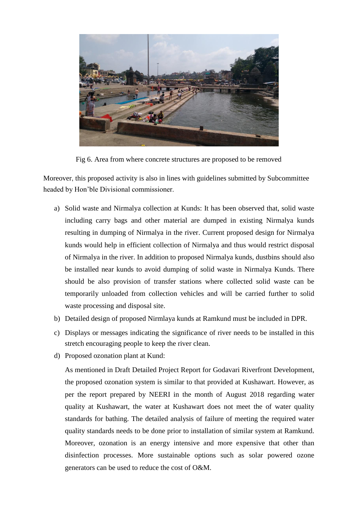

Fig 6. Area from where concrete structures are proposed to be removed

Moreover, this proposed activity is also in lines with guidelines submitted by Subcommittee headed by Hon'ble Divisional commissioner.

- a) Solid waste and Nirmalya collection at Kunds: It has been observed that, solid waste including carry bags and other material are dumped in existing Nirmalya kunds resulting in dumping of Nirmalya in the river. Current proposed design for Nirmalya kunds would help in efficient collection of Nirmalya and thus would restrict disposal of Nirmalya in the river. In addition to proposed Nirmalya kunds, dustbins should also be installed near kunds to avoid dumping of solid waste in Nirmalya Kunds. There should be also provision of transfer stations where collected solid waste can be temporarily unloaded from collection vehicles and will be carried further to solid waste processing and disposal site.
- b) Detailed design of proposed Nirmlaya kunds at Ramkund must be included in DPR.
- c) Displays or messages indicating the significance of river needs to be installed in this stretch encouraging people to keep the river clean.
- d) Proposed ozonation plant at Kund:

As mentioned in Draft Detailed Project Report for Godavari Riverfront Development, the proposed ozonation system is similar to that provided at Kushawart. However, as per the report prepared by NEERI in the month of August 2018 regarding water quality at Kushawart, the water at Kushawart does not meet the of water quality standards for bathing. The detailed analysis of failure of meeting the required water quality standards needs to be done prior to installation of similar system at Ramkund. Moreover, ozonation is an energy intensive and more expensive that other than disinfection processes. More sustainable options such as solar powered ozone generators can be used to reduce the cost of O&M.